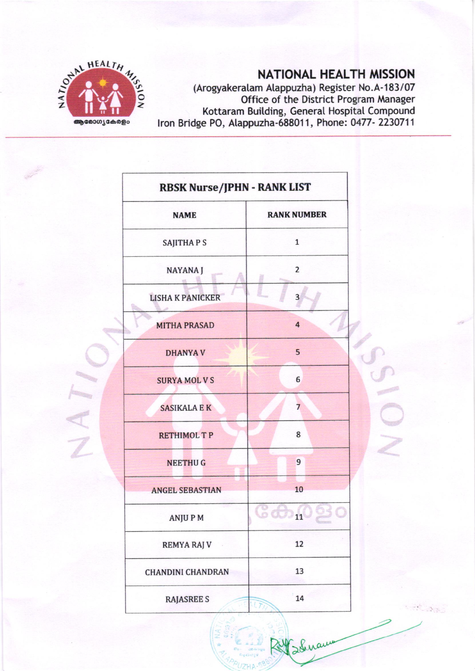

## NATIONAL HEALTH MISSION

 $\Lambda_{\rm 1.5}$ 

(Arogyakeralam Alappuzha) Register No.A-183/07 Office of the District Program Manager Kottaram Building, General Hospital Compound<br>Iron Bridge PO, Alappuzha-688011, Phone: 0477- 2230711

| <b>RBSK Nurse/JPHN - RANK LIST</b> |                         |  |
|------------------------------------|-------------------------|--|
| <b>NAME</b>                        | <b>RANK NUMBER</b>      |  |
| <b>SAJITHAPS</b>                   | $\mathbf{1}$            |  |
| NAYANA J                           | $\overline{2}$          |  |
| <b>LISHA K PANICKER</b>            | 3                       |  |
| <b>MITHA PRASAD</b>                | $\overline{\mathbf{4}}$ |  |
| <b>DHANYAV</b>                     | 5                       |  |
| <b>SURYA MOL V S</b>               | 6                       |  |
| <b>SASIKALA E K</b>                | $\overline{7}$          |  |
| <b>RETHIMOL T P</b>                | 8                       |  |
| <b>NEETHUG</b>                     | 9                       |  |
| <b>ANGEL SEBASTIAN</b>             | 10                      |  |
| <b>ANJUPM</b>                      | 11                      |  |
| <b>REMYA RAJ V</b>                 | 12                      |  |
| <b>CHANDINI CHANDRAN</b>           | 13                      |  |
| <b>RAJASREE S</b>                  | 14<br>NF                |  |

Suranne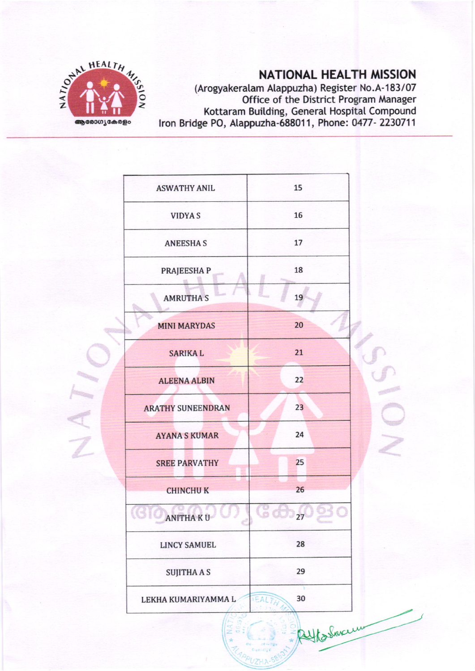

## **NATIONAL HEALTH MISSION**

(Arogyakeralam Alappuzha) Register No.A-183/07 Calegyancially Aleppezing Register No. A 189787<br>Office of the District Program Manager<br>Kottaram Building, General Hospital Compound<br>Iron Bridge PO, Alappuzha-688011, Phone: 0477- 2230711

| <b>ASWATHY ANIL</b>      | 15         |
|--------------------------|------------|
| <b>VIDYAS</b>            | 16         |
| <b>ANEESHAS</b>          | 17         |
| PRAJEESHA P              | 18         |
| <b>AMRUTHA S</b>         | 19         |
| <b>MINI MARYDAS</b>      | 20         |
| <b>SARIKAL</b>           | 21         |
| <b>ALEENA ALBIN</b>      | 22         |
| <b>ARATHY SUNEENDRAN</b> | 23         |
| <b>AYANA S KUMAR</b>     | 24         |
| <b>SREE PARVATHY</b>     | 25         |
| <b>CHINCHUK</b>          | 26         |
| <b>ANITHA KU</b>         | 27         |
| <b>LINCY SAMUEL</b>      | 28         |
| <b>SUJITHA A S</b>       | 29         |
| LEKHA KUMARIYAMMA L      | 30<br>IEAL |
|                          | Whoshercum |
|                          |            |